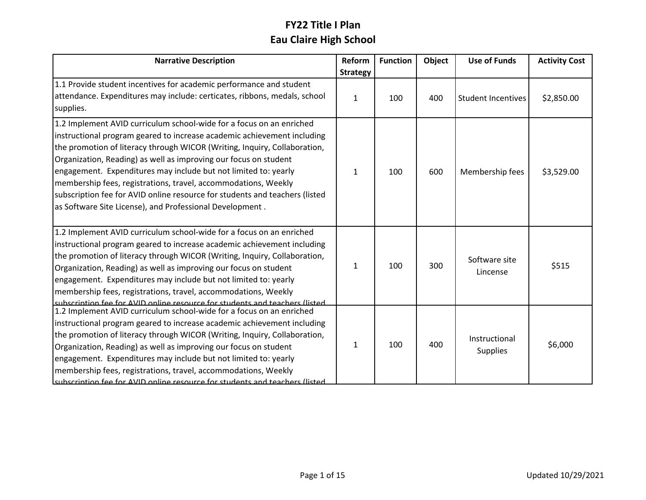| <b>Narrative Description</b>                                                | Reform          | <b>Function</b> | Object | <b>Use of Funds</b>       | <b>Activity Cost</b> |
|-----------------------------------------------------------------------------|-----------------|-----------------|--------|---------------------------|----------------------|
|                                                                             | <b>Strategy</b> |                 |        |                           |                      |
| 1.1 Provide student incentives for academic performance and student         |                 |                 |        |                           |                      |
| attendance. Expenditures may include: certicates, ribbons, medals, school   | 1               | 100             | 400    | <b>Student Incentives</b> | \$2,850.00           |
| supplies.                                                                   |                 |                 |        |                           |                      |
| 1.2 Implement AVID curriculum school-wide for a focus on an enriched        |                 |                 |        |                           |                      |
| instructional program geared to increase academic achievement including     |                 |                 |        |                           |                      |
| the promotion of literacy through WICOR (Writing, Inquiry, Collaboration,   |                 |                 |        |                           |                      |
| Organization, Reading) as well as improving our focus on student            |                 |                 |        |                           |                      |
| engagement. Expenditures may include but not limited to: yearly             | 1               | 100             | 600    | Membership fees           | \$3,529.00           |
| membership fees, registrations, travel, accommodations, Weekly              |                 |                 |        |                           |                      |
| subscription fee for AVID online resource for students and teachers (listed |                 |                 |        |                           |                      |
| as Software Site License), and Professional Development.                    |                 |                 |        |                           |                      |
|                                                                             |                 |                 |        |                           |                      |
| 1.2 Implement AVID curriculum school-wide for a focus on an enriched        |                 |                 |        |                           |                      |
| instructional program geared to increase academic achievement including     |                 |                 |        |                           |                      |
| the promotion of literacy through WICOR (Writing, Inquiry, Collaboration,   |                 |                 |        | Software site             |                      |
| Organization, Reading) as well as improving our focus on student            | 1               | 100             | 300    | Lincense                  | \$515                |
| engagement. Expenditures may include but not limited to: yearly             |                 |                 |        |                           |                      |
| membership fees, registrations, travel, accommodations, Weekly              |                 |                 |        |                           |                      |
| subscription fee for AVID opline resource for students and teachers (listed |                 |                 |        |                           |                      |
| 1.2 Implement AVID curriculum school-wide for a focus on an enriched        |                 |                 |        |                           |                      |
| instructional program geared to increase academic achievement including     |                 |                 |        |                           |                      |
| the promotion of literacy through WICOR (Writing, Inquiry, Collaboration,   |                 |                 |        | Instructional             |                      |
| Organization, Reading) as well as improving our focus on student            | 1               | 100             | 400    | <b>Supplies</b>           | \$6,000              |
| engagement. Expenditures may include but not limited to: yearly             |                 |                 |        |                           |                      |
| membership fees, registrations, travel, accommodations, Weekly              |                 |                 |        |                           |                      |
| subscription fee for AVID online resource for students and teachers (listed |                 |                 |        |                           |                      |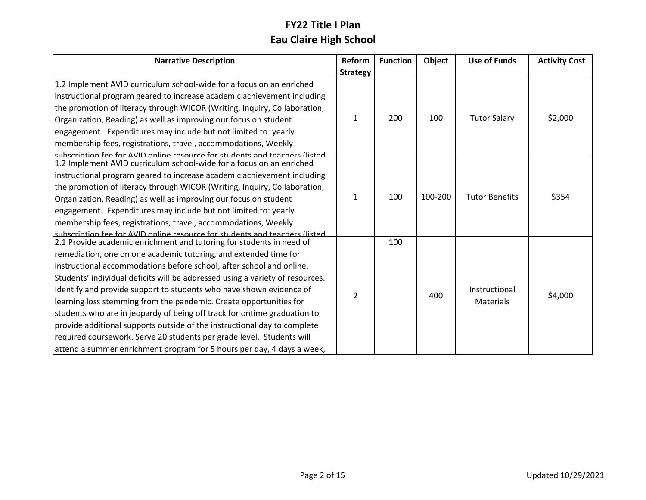| <b>Narrative Description</b>                                                  | Reform          | <b>Function</b> | Object  | <b>Use of Funds</b>   | <b>Activity Cost</b> |
|-------------------------------------------------------------------------------|-----------------|-----------------|---------|-----------------------|----------------------|
|                                                                               | <b>Strategy</b> |                 |         |                       |                      |
| 1.2 Implement AVID curriculum school-wide for a focus on an enriched          |                 |                 |         |                       |                      |
| instructional program geared to increase academic achievement including       |                 |                 |         |                       |                      |
| the promotion of literacy through WICOR (Writing, Inquiry, Collaboration,     |                 |                 |         |                       |                      |
| Organization, Reading) as well as improving our focus on student              | 1               | 200             | 100     | <b>Tutor Salary</b>   | \$2,000              |
| engagement. Expenditures may include but not limited to: yearly               |                 |                 |         |                       |                      |
| membership fees, registrations, travel, accommodations, Weekly                |                 |                 |         |                       |                      |
| subscription fee for AVID online resource for students and teachers (listed   |                 |                 |         |                       |                      |
| 1.2 Implement AVID curriculum school-wide for a focus on an enriched          |                 |                 |         |                       |                      |
| instructional program geared to increase academic achievement including       |                 | 100             |         | <b>Tutor Benefits</b> | \$354                |
| the promotion of literacy through WICOR (Writing, Inquiry, Collaboration,     |                 |                 |         |                       |                      |
| Organization, Reading) as well as improving our focus on student              | 1               |                 | 100-200 |                       |                      |
| engagement. Expenditures may include but not limited to: yearly               |                 |                 |         |                       |                      |
| membership fees, registrations, travel, accommodations, Weekly                |                 |                 |         |                       |                      |
| subscription fee for AVID online resource for students and teachers (listed   |                 |                 |         |                       |                      |
| 2.1 Provide academic enrichment and tutoring for students in need of          |                 | 100             |         |                       |                      |
| remediation, one on one academic tutoring, and extended time for              |                 |                 |         |                       |                      |
| instructional accommodations before school, after school and online.          |                 |                 |         |                       |                      |
| Students' individual deficits will be addressed using a variety of resources. |                 |                 |         |                       |                      |
| Identify and provide support to students who have shown evidence of           | 2               |                 | 400     | Instructional         | \$4,000              |
| learning loss stemming from the pandemic. Create opportunities for            |                 |                 |         | Materials             |                      |
| students who are in jeopardy of being off track for ontime graduation to      |                 |                 |         |                       |                      |
| provide additional supports outside of the instructional day to complete      |                 |                 |         |                       |                      |
| required coursework. Serve 20 students per grade level. Students will         |                 |                 |         |                       |                      |
| attend a summer enrichment program for 5 hours per day, 4 days a week,        |                 |                 |         |                       |                      |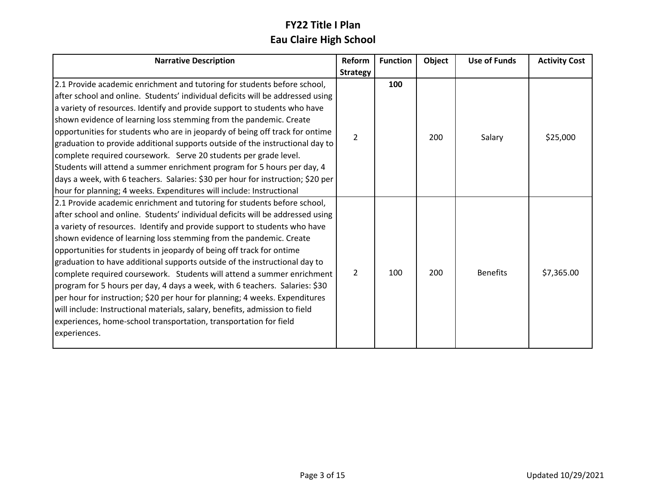| <b>Narrative Description</b>                                                    | Reform        | <b>Function</b> | Object | <b>Use of Funds</b> | <b>Activity Cost</b> |
|---------------------------------------------------------------------------------|---------------|-----------------|--------|---------------------|----------------------|
|                                                                                 | Strategy      |                 |        |                     |                      |
| 2.1 Provide academic enrichment and tutoring for students before school,        |               | 100             |        |                     |                      |
| after school and online. Students' individual deficits will be addressed using  |               |                 |        |                     |                      |
| a variety of resources. Identify and provide support to students who have       |               |                 |        |                     |                      |
| shown evidence of learning loss stemming from the pandemic. Create              |               |                 |        |                     |                      |
| opportunities for students who are in jeopardy of being off track for ontime    | $\mathcal{P}$ |                 | 200    |                     |                      |
| graduation to provide additional supports outside of the instructional day to   |               |                 |        | Salary              | \$25,000             |
| complete required coursework. Serve 20 students per grade level.                |               |                 |        |                     |                      |
| Students will attend a summer enrichment program for 5 hours per day, 4         |               |                 |        |                     |                      |
| days a week, with 6 teachers. Salaries: \$30 per hour for instruction; \$20 per |               |                 |        |                     |                      |
| hour for planning; 4 weeks. Expenditures will include: Instructional            |               |                 |        |                     |                      |
| 2.1 Provide academic enrichment and tutoring for students before school,        |               |                 |        |                     |                      |
| after school and online. Students' individual deficits will be addressed using  |               |                 |        |                     |                      |
| a variety of resources. Identify and provide support to students who have       |               |                 |        |                     |                      |
| shown evidence of learning loss stemming from the pandemic. Create              |               |                 |        |                     |                      |
| opportunities for students in jeopardy of being off track for ontime            |               |                 |        |                     |                      |
| graduation to have additional supports outside of the instructional day to      |               |                 |        |                     |                      |
| complete required coursework. Students will attend a summer enrichment          | 2             | 100             | 200    | <b>Benefits</b>     | \$7,365.00           |
| program for 5 hours per day, 4 days a week, with 6 teachers. Salaries: \$30     |               |                 |        |                     |                      |
| per hour for instruction; \$20 per hour for planning; 4 weeks. Expenditures     |               |                 |        |                     |                      |
| will include: Instructional materials, salary, benefits, admission to field     |               |                 |        |                     |                      |
| experiences, home-school transportation, transportation for field               |               |                 |        |                     |                      |
| experiences.                                                                    |               |                 |        |                     |                      |
|                                                                                 |               |                 |        |                     |                      |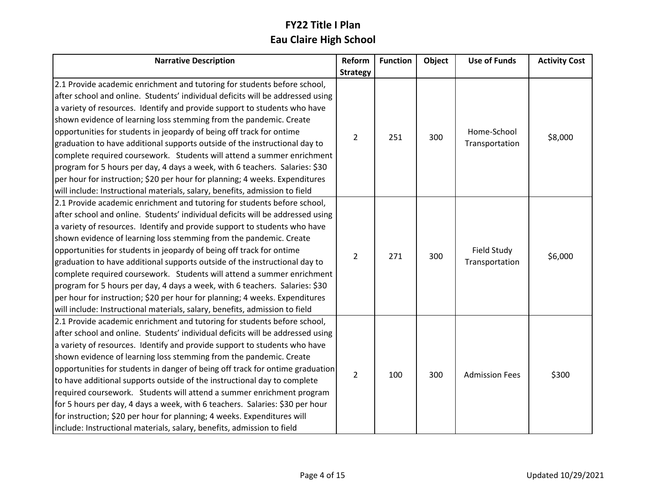| <b>Narrative Description</b>                                                                                                                                                                                                                                                                                                                                                                                                                                                                                                                                                                                                                                                                                                                                                               | Reform          | <b>Function</b> | Object | <b>Use of Funds</b>           | <b>Activity Cost</b> |
|--------------------------------------------------------------------------------------------------------------------------------------------------------------------------------------------------------------------------------------------------------------------------------------------------------------------------------------------------------------------------------------------------------------------------------------------------------------------------------------------------------------------------------------------------------------------------------------------------------------------------------------------------------------------------------------------------------------------------------------------------------------------------------------------|-----------------|-----------------|--------|-------------------------------|----------------------|
|                                                                                                                                                                                                                                                                                                                                                                                                                                                                                                                                                                                                                                                                                                                                                                                            | <b>Strategy</b> |                 |        |                               |                      |
| 2.1 Provide academic enrichment and tutoring for students before school,<br>after school and online. Students' individual deficits will be addressed using<br>a variety of resources. Identify and provide support to students who have<br>shown evidence of learning loss stemming from the pandemic. Create<br>opportunities for students in jeopardy of being off track for ontime<br>graduation to have additional supports outside of the instructional day to<br>complete required coursework. Students will attend a summer enrichment<br>program for 5 hours per day, 4 days a week, with 6 teachers. Salaries: \$30<br>per hour for instruction; \$20 per hour for planning; 4 weeks. Expenditures<br>will include: Instructional materials, salary, benefits, admission to field | 2               | 251             | 300    | Home-School<br>Transportation | \$8,000              |
| 2.1 Provide academic enrichment and tutoring for students before school,<br>after school and online. Students' individual deficits will be addressed using<br>a variety of resources. Identify and provide support to students who have<br>shown evidence of learning loss stemming from the pandemic. Create<br>opportunities for students in jeopardy of being off track for ontime<br>graduation to have additional supports outside of the instructional day to<br>complete required coursework. Students will attend a summer enrichment<br>program for 5 hours per day, 4 days a week, with 6 teachers. Salaries: \$30<br>per hour for instruction; \$20 per hour for planning; 4 weeks. Expenditures<br>will include: Instructional materials, salary, benefits, admission to field | $\overline{2}$  | 271             | 300    | Field Study<br>Transportation | \$6,000              |
| 2.1 Provide academic enrichment and tutoring for students before school,<br>after school and online. Students' individual deficits will be addressed using<br>a variety of resources. Identify and provide support to students who have<br>shown evidence of learning loss stemming from the pandemic. Create<br>opportunities for students in danger of being off track for ontime graduation<br>to have additional supports outside of the instructional day to complete<br>required coursework. Students will attend a summer enrichment program<br>for 5 hours per day, 4 days a week, with 6 teachers. Salaries: \$30 per hour<br>for instruction; \$20 per hour for planning; 4 weeks. Expenditures will<br>include: Instructional materials, salary, benefits, admission to field   | $\overline{2}$  | 100             | 300    | <b>Admission Fees</b>         | \$300                |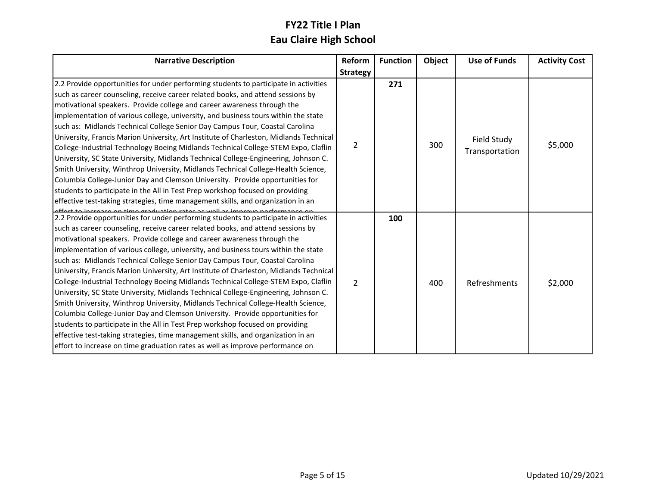| <b>Narrative Description</b>                                                                                                                                                                                                                                                                                                                                                                                                                                                                                                                                                                                                                                                                                                                                                                                                                                                                                                                                                                                                                                                                                                | Reform          | <b>Function</b> | Object | <b>Use of Funds</b>           | <b>Activity Cost</b> |
|-----------------------------------------------------------------------------------------------------------------------------------------------------------------------------------------------------------------------------------------------------------------------------------------------------------------------------------------------------------------------------------------------------------------------------------------------------------------------------------------------------------------------------------------------------------------------------------------------------------------------------------------------------------------------------------------------------------------------------------------------------------------------------------------------------------------------------------------------------------------------------------------------------------------------------------------------------------------------------------------------------------------------------------------------------------------------------------------------------------------------------|-----------------|-----------------|--------|-------------------------------|----------------------|
|                                                                                                                                                                                                                                                                                                                                                                                                                                                                                                                                                                                                                                                                                                                                                                                                                                                                                                                                                                                                                                                                                                                             | <b>Strategy</b> |                 |        |                               |                      |
| 2.2 Provide opportunities for under performing students to participate in activities<br>such as career counseling, receive career related books, and attend sessions by<br>motivational speakers. Provide college and career awareness through the<br>implementation of various college, university, and business tours within the state<br>such as: Midlands Technical College Senior Day Campus Tour, Coastal Carolina                                                                                                                                                                                                                                                                                                                                                                                                                                                                                                                                                                                                                                                                                                    |                 | 271             |        |                               |                      |
| University, Francis Marion University, Art Institute of Charleston, Midlands Technical<br>College-Industrial Technology Boeing Midlands Technical College-STEM Expo, Claflin<br>University, SC State University, Midlands Technical College-Engineering, Johnson C.<br>Smith University, Winthrop University, Midlands Technical College-Health Science,<br>Columbia College-Junior Day and Clemson University. Provide opportunities for<br>students to participate in the All in Test Prep workshop focused on providing<br>effective test-taking strategies, time management skills, and organization in an                                                                                                                                                                                                                                                                                                                                                                                                                                                                                                              | 2               |                 | 300    | Field Study<br>Transportation | \$5,000              |
| 2.2 Provide opportunities for under performing students to participate in activities<br>such as career counseling, receive career related books, and attend sessions by<br>motivational speakers. Provide college and career awareness through the<br>implementation of various college, university, and business tours within the state<br>such as: Midlands Technical College Senior Day Campus Tour, Coastal Carolina<br>University, Francis Marion University, Art Institute of Charleston, Midlands Technical<br>College-Industrial Technology Boeing Midlands Technical College-STEM Expo, Claflin<br>University, SC State University, Midlands Technical College-Engineering, Johnson C.<br>Smith University, Winthrop University, Midlands Technical College-Health Science,<br>Columbia College-Junior Day and Clemson University. Provide opportunities for<br>students to participate in the All in Test Prep workshop focused on providing<br>effective test-taking strategies, time management skills, and organization in an<br>effort to increase on time graduation rates as well as improve performance on | $\mathcal{P}$   | 100             | 400    | Refreshments                  | \$2,000              |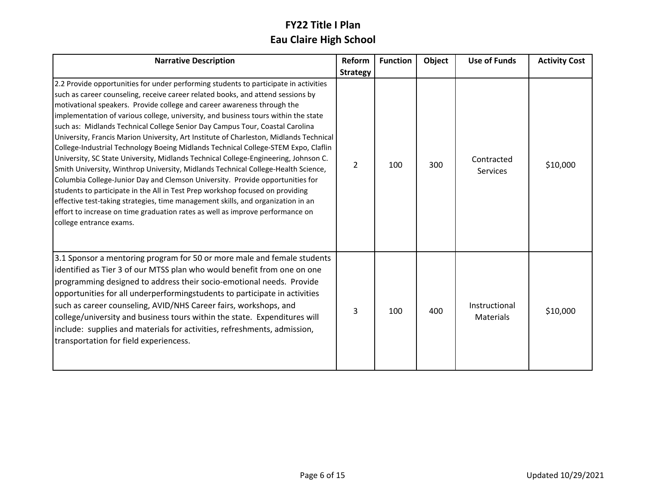| <b>Narrative Description</b>                                                                                                                                                                                                                                                                                                                                                                                                                                                                                                                                                                                                                                                                                                                                                                                                                                                                                                                                                                                                                                                                                                                           | Reform          | <b>Function</b> | Object | <b>Use of Funds</b>               | <b>Activity Cost</b> |
|--------------------------------------------------------------------------------------------------------------------------------------------------------------------------------------------------------------------------------------------------------------------------------------------------------------------------------------------------------------------------------------------------------------------------------------------------------------------------------------------------------------------------------------------------------------------------------------------------------------------------------------------------------------------------------------------------------------------------------------------------------------------------------------------------------------------------------------------------------------------------------------------------------------------------------------------------------------------------------------------------------------------------------------------------------------------------------------------------------------------------------------------------------|-----------------|-----------------|--------|-----------------------------------|----------------------|
|                                                                                                                                                                                                                                                                                                                                                                                                                                                                                                                                                                                                                                                                                                                                                                                                                                                                                                                                                                                                                                                                                                                                                        | <b>Strategy</b> |                 |        |                                   |                      |
| 2.2 Provide opportunities for under performing students to participate in activities<br>such as career counseling, receive career related books, and attend sessions by<br>motivational speakers. Provide college and career awareness through the<br>implementation of various college, university, and business tours within the state<br>such as: Midlands Technical College Senior Day Campus Tour, Coastal Carolina<br>University, Francis Marion University, Art Institute of Charleston, Midlands Technical<br>College-Industrial Technology Boeing Midlands Technical College-STEM Expo, Claflin<br>University, SC State University, Midlands Technical College-Engineering, Johnson C.<br>Smith University, Winthrop University, Midlands Technical College-Health Science,<br>Columbia College-Junior Day and Clemson University. Provide opportunities for<br>students to participate in the All in Test Prep workshop focused on providing<br>effective test-taking strategies, time management skills, and organization in an<br>effort to increase on time graduation rates as well as improve performance on<br>college entrance exams. | 2               | 100             | 300    | Contracted<br>Services            | \$10,000             |
| 3.1 Sponsor a mentoring program for 50 or more male and female students<br>identified as Tier 3 of our MTSS plan who would benefit from one on one<br>programming designed to address their socio-emotional needs. Provide<br>opportunities for all underperformingstudents to participate in activities<br>such as career counseling, AVID/NHS Career fairs, workshops, and<br>college/university and business tours within the state. Expenditures will<br>include: supplies and materials for activities, refreshments, admission,<br>transportation for field experiencess.                                                                                                                                                                                                                                                                                                                                                                                                                                                                                                                                                                        | 3               | 100             | 400    | Instructional<br><b>Materials</b> | \$10,000             |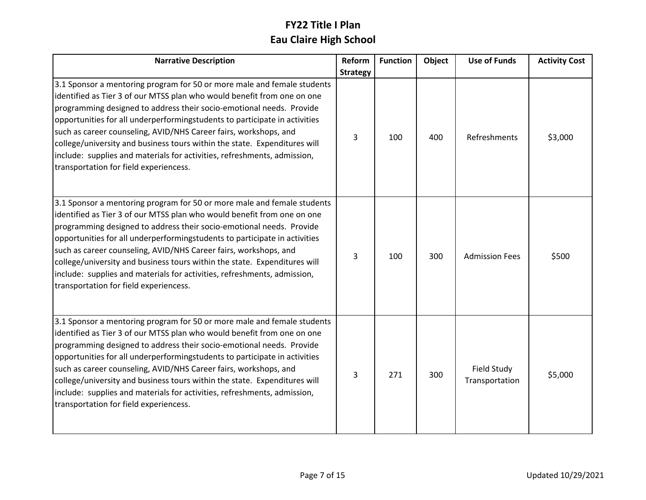| <b>Narrative Description</b>                                                                                                                                                                                                                                                                                                                                                                                                                                                                                                                                                    | Reform          | <b>Function</b> | Object | <b>Use of Funds</b>                  | <b>Activity Cost</b> |
|---------------------------------------------------------------------------------------------------------------------------------------------------------------------------------------------------------------------------------------------------------------------------------------------------------------------------------------------------------------------------------------------------------------------------------------------------------------------------------------------------------------------------------------------------------------------------------|-----------------|-----------------|--------|--------------------------------------|----------------------|
|                                                                                                                                                                                                                                                                                                                                                                                                                                                                                                                                                                                 | <b>Strategy</b> |                 |        |                                      |                      |
| 3.1 Sponsor a mentoring program for 50 or more male and female students<br>identified as Tier 3 of our MTSS plan who would benefit from one on one<br>programming designed to address their socio-emotional needs. Provide<br>opportunities for all underperformingstudents to participate in activities<br>such as career counseling, AVID/NHS Career fairs, workshops, and<br>college/university and business tours within the state. Expenditures will<br>include: supplies and materials for activities, refreshments, admission,<br>transportation for field experiencess. | 3               | 100             | 400    | Refreshments                         | \$3,000              |
| 3.1 Sponsor a mentoring program for 50 or more male and female students<br>identified as Tier 3 of our MTSS plan who would benefit from one on one<br>programming designed to address their socio-emotional needs. Provide<br>opportunities for all underperformingstudents to participate in activities<br>such as career counseling, AVID/NHS Career fairs, workshops, and<br>college/university and business tours within the state. Expenditures will<br>include: supplies and materials for activities, refreshments, admission,<br>transportation for field experiencess. | 3               | 100             | 300    | <b>Admission Fees</b>                | \$500                |
| 3.1 Sponsor a mentoring program for 50 or more male and female students<br>identified as Tier 3 of our MTSS plan who would benefit from one on one<br>programming designed to address their socio-emotional needs. Provide<br>opportunities for all underperformingstudents to participate in activities<br>such as career counseling, AVID/NHS Career fairs, workshops, and<br>college/university and business tours within the state. Expenditures will<br>include: supplies and materials for activities, refreshments, admission,<br>transportation for field experiencess. | 3               | 271             | 300    | <b>Field Study</b><br>Transportation | \$5,000              |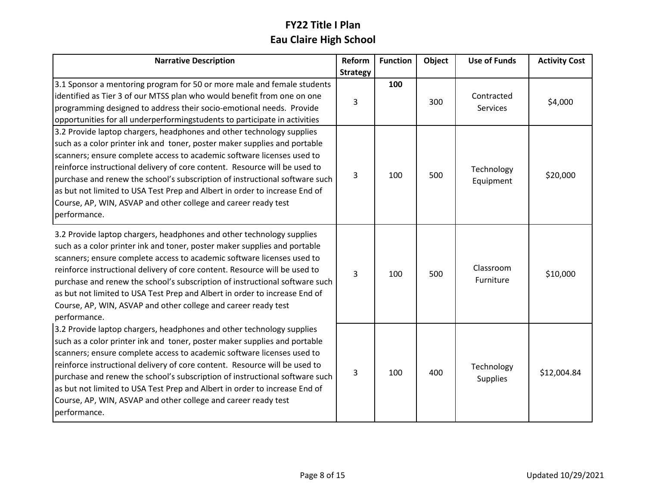| <b>Narrative Description</b>                                                                                                                                                                                                                                                                                                                                                                                                                                                                                                                              | <b>Reform</b>   | <b>Function</b> | Object | <b>Use of Funds</b>           | <b>Activity Cost</b> |
|-----------------------------------------------------------------------------------------------------------------------------------------------------------------------------------------------------------------------------------------------------------------------------------------------------------------------------------------------------------------------------------------------------------------------------------------------------------------------------------------------------------------------------------------------------------|-----------------|-----------------|--------|-------------------------------|----------------------|
|                                                                                                                                                                                                                                                                                                                                                                                                                                                                                                                                                           | <b>Strategy</b> |                 |        |                               |                      |
| 3.1 Sponsor a mentoring program for 50 or more male and female students<br>identified as Tier 3 of our MTSS plan who would benefit from one on one<br>programming designed to address their socio-emotional needs. Provide<br>opportunities for all underperformingstudents to participate in activities                                                                                                                                                                                                                                                  | 3               | 100             | 300    | Contracted<br><b>Services</b> | \$4,000              |
| 3.2 Provide laptop chargers, headphones and other technology supplies<br>such as a color printer ink and toner, poster maker supplies and portable<br>scanners; ensure complete access to academic software licenses used to<br>reinforce instructional delivery of core content. Resource will be used to<br>purchase and renew the school's subscription of instructional software such<br>as but not limited to USA Test Prep and Albert in order to increase End of<br>Course, AP, WIN, ASVAP and other college and career ready test<br>performance. | 3               | 100             | 500    | Technology<br>Equipment       | \$20,000             |
| 3.2 Provide laptop chargers, headphones and other technology supplies<br>such as a color printer ink and toner, poster maker supplies and portable<br>scanners; ensure complete access to academic software licenses used to<br>reinforce instructional delivery of core content. Resource will be used to<br>purchase and renew the school's subscription of instructional software such<br>as but not limited to USA Test Prep and Albert in order to increase End of<br>Course, AP, WIN, ASVAP and other college and career ready test<br>performance. | 3               | 100             | 500    | Classroom<br>Furniture        | \$10,000             |
| 3.2 Provide laptop chargers, headphones and other technology supplies<br>such as a color printer ink and toner, poster maker supplies and portable<br>scanners; ensure complete access to academic software licenses used to<br>reinforce instructional delivery of core content. Resource will be used to<br>purchase and renew the school's subscription of instructional software such<br>as but not limited to USA Test Prep and Albert in order to increase End of<br>Course, AP, WIN, ASVAP and other college and career ready test<br>performance. | 3               | 100             | 400    | Technology<br>Supplies        | \$12,004.84          |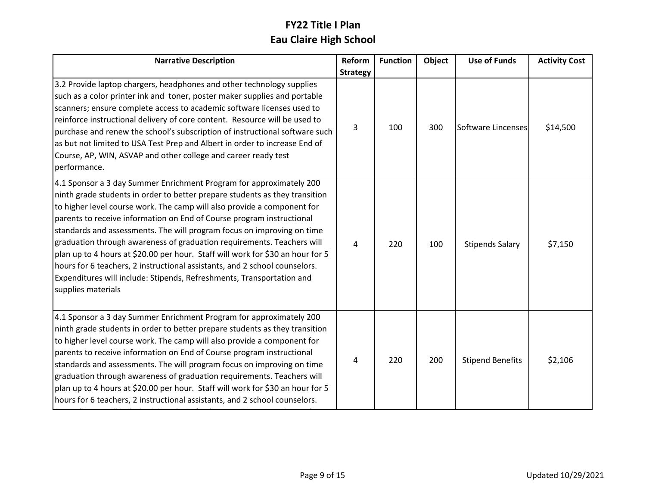| <b>Narrative Description</b>                                                                                                                                                                                                                                                                                                                                                                                                                                                                                                                                                                                                                                                                                              | Reform          | <b>Function</b> | Object | <b>Use of Funds</b>     | <b>Activity Cost</b> |
|---------------------------------------------------------------------------------------------------------------------------------------------------------------------------------------------------------------------------------------------------------------------------------------------------------------------------------------------------------------------------------------------------------------------------------------------------------------------------------------------------------------------------------------------------------------------------------------------------------------------------------------------------------------------------------------------------------------------------|-----------------|-----------------|--------|-------------------------|----------------------|
|                                                                                                                                                                                                                                                                                                                                                                                                                                                                                                                                                                                                                                                                                                                           | <b>Strategy</b> |                 |        |                         |                      |
| 3.2 Provide laptop chargers, headphones and other technology supplies<br>such as a color printer ink and toner, poster maker supplies and portable<br>scanners; ensure complete access to academic software licenses used to<br>reinforce instructional delivery of core content. Resource will be used to<br>purchase and renew the school's subscription of instructional software such<br>as but not limited to USA Test Prep and Albert in order to increase End of<br>Course, AP, WIN, ASVAP and other college and career ready test<br>performance.                                                                                                                                                                 | 3               | 100             | 300    | Software Lincenses      | \$14,500             |
| 4.1 Sponsor a 3 day Summer Enrichment Program for approximately 200<br>ninth grade students in order to better prepare students as they transition<br>to higher level course work. The camp will also provide a component for<br>parents to receive information on End of Course program instructional<br>standards and assessments. The will program focus on improving on time<br>graduation through awareness of graduation requirements. Teachers will<br>plan up to 4 hours at \$20.00 per hour. Staff will work for \$30 an hour for 5<br>hours for 6 teachers, 2 instructional assistants, and 2 school counselors.<br>Expenditures will include: Stipends, Refreshments, Transportation and<br>supplies materials | 4               | 220             | 100    | <b>Stipends Salary</b>  | \$7,150              |
| 4.1 Sponsor a 3 day Summer Enrichment Program for approximately 200<br>ninth grade students in order to better prepare students as they transition<br>to higher level course work. The camp will also provide a component for<br>parents to receive information on End of Course program instructional<br>standards and assessments. The will program focus on improving on time<br>graduation through awareness of graduation requirements. Teachers will<br>plan up to 4 hours at \$20.00 per hour. Staff will work for \$30 an hour for 5<br>hours for 6 teachers, 2 instructional assistants, and 2 school counselors.                                                                                                | 4               | 220             | 200    | <b>Stipend Benefits</b> | \$2,106              |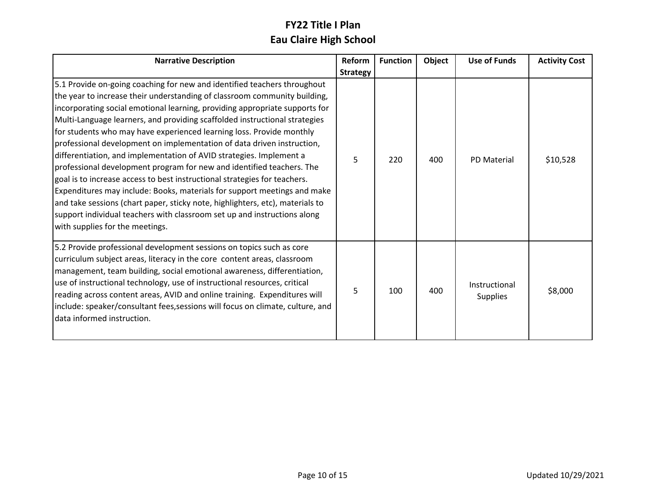| <b>Narrative Description</b>                                                                                                                                                                                                                                                                                                                                                                                                                                                                                                                                                                                                                                                                                                                                                                                                                                                                                                                                                  | Reform          | <b>Function</b> | Object | <b>Use of Funds</b>              | <b>Activity Cost</b> |
|-------------------------------------------------------------------------------------------------------------------------------------------------------------------------------------------------------------------------------------------------------------------------------------------------------------------------------------------------------------------------------------------------------------------------------------------------------------------------------------------------------------------------------------------------------------------------------------------------------------------------------------------------------------------------------------------------------------------------------------------------------------------------------------------------------------------------------------------------------------------------------------------------------------------------------------------------------------------------------|-----------------|-----------------|--------|----------------------------------|----------------------|
|                                                                                                                                                                                                                                                                                                                                                                                                                                                                                                                                                                                                                                                                                                                                                                                                                                                                                                                                                                               | <b>Strategy</b> |                 |        |                                  |                      |
| 5.1 Provide on-going coaching for new and identified teachers throughout<br>the year to increase their understanding of classroom community building,<br>incorporating social emotional learning, providing appropriate supports for<br>Multi-Language learners, and providing scaffolded instructional strategies<br>for students who may have experienced learning loss. Provide monthly<br>professional development on implementation of data driven instruction,<br>differentiation, and implementation of AVID strategies. Implement a<br>professional development program for new and identified teachers. The<br>goal is to increase access to best instructional strategies for teachers.<br>Expenditures may include: Books, materials for support meetings and make<br>and take sessions (chart paper, sticky note, highlighters, etc), materials to<br>support individual teachers with classroom set up and instructions along<br>with supplies for the meetings. | 5               | 220             | 400    | <b>PD Material</b>               | \$10,528             |
| 5.2 Provide professional development sessions on topics such as core<br>curriculum subject areas, literacy in the core content areas, classroom<br>management, team building, social emotional awareness, differentiation,<br>use of instructional technology, use of instructional resources, critical<br>reading across content areas, AVID and online training. Expenditures will<br>include: speaker/consultant fees, sessions will focus on climate, culture, and<br>data informed instruction.                                                                                                                                                                                                                                                                                                                                                                                                                                                                          | 5               | 100             | 400    | Instructional<br><b>Supplies</b> | \$8,000              |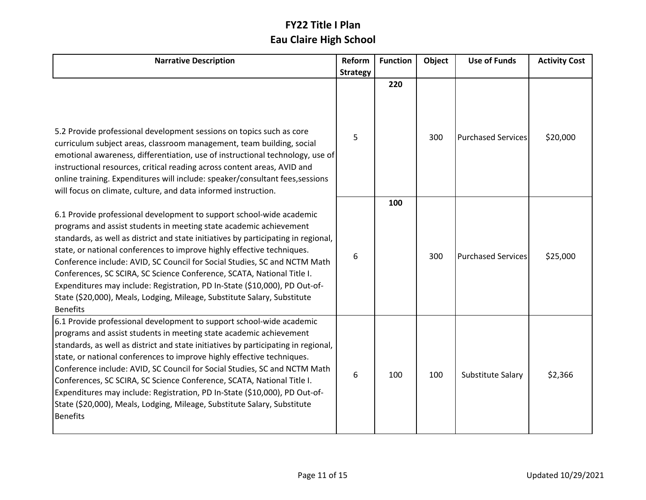| <b>Narrative Description</b>                                                                                                                                                                                                                                                                                                                                                                                                                                                                                                                                                                                                                   | Reform          | <b>Function</b> | Object | <b>Use of Funds</b>       | <b>Activity Cost</b> |
|------------------------------------------------------------------------------------------------------------------------------------------------------------------------------------------------------------------------------------------------------------------------------------------------------------------------------------------------------------------------------------------------------------------------------------------------------------------------------------------------------------------------------------------------------------------------------------------------------------------------------------------------|-----------------|-----------------|--------|---------------------------|----------------------|
|                                                                                                                                                                                                                                                                                                                                                                                                                                                                                                                                                                                                                                                | <b>Strategy</b> |                 |        |                           |                      |
| 5.2 Provide professional development sessions on topics such as core<br>curriculum subject areas, classroom management, team building, social<br>emotional awareness, differentiation, use of instructional technology, use of<br>instructional resources, critical reading across content areas, AVID and<br>online training. Expenditures will include: speaker/consultant fees, sessions<br>will focus on climate, culture, and data informed instruction.                                                                                                                                                                                  | 5               | 220             | 300    | <b>Purchased Services</b> | \$20,000             |
| 6.1 Provide professional development to support school-wide academic<br>programs and assist students in meeting state academic achievement<br>standards, as well as district and state initiatives by participating in regional,<br>state, or national conferences to improve highly effective techniques.<br>Conference include: AVID, SC Council for Social Studies, SC and NCTM Math<br>Conferences, SC SCIRA, SC Science Conference, SCATA, National Title I.<br>Expenditures may include: Registration, PD In-State (\$10,000), PD Out-of-<br>State (\$20,000), Meals, Lodging, Mileage, Substitute Salary, Substitute<br><b>Benefits</b> | 6               | 100             | 300    | <b>Purchased Services</b> | \$25,000             |
| 6.1 Provide professional development to support school-wide academic<br>programs and assist students in meeting state academic achievement<br>standards, as well as district and state initiatives by participating in regional,<br>state, or national conferences to improve highly effective techniques.<br>Conference include: AVID, SC Council for Social Studies, SC and NCTM Math<br>Conferences, SC SCIRA, SC Science Conference, SCATA, National Title I.<br>Expenditures may include: Registration, PD In-State (\$10,000), PD Out-of-<br>State (\$20,000), Meals, Lodging, Mileage, Substitute Salary, Substitute<br><b>Benefits</b> | 6               | 100             | 100    | Substitute Salary         | \$2,366              |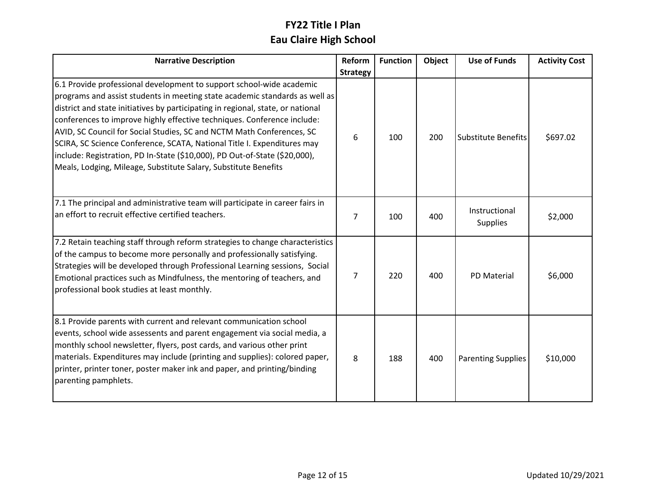| <b>Narrative Description</b>                                                                                                                                                                                                                                                                                                                                                                                                                                                                                                                                                                                           | Reform          | <b>Function</b> | Object | <b>Use of Funds</b>              | <b>Activity Cost</b> |
|------------------------------------------------------------------------------------------------------------------------------------------------------------------------------------------------------------------------------------------------------------------------------------------------------------------------------------------------------------------------------------------------------------------------------------------------------------------------------------------------------------------------------------------------------------------------------------------------------------------------|-----------------|-----------------|--------|----------------------------------|----------------------|
|                                                                                                                                                                                                                                                                                                                                                                                                                                                                                                                                                                                                                        | <b>Strategy</b> |                 |        |                                  |                      |
| 6.1 Provide professional development to support school-wide academic<br>programs and assist students in meeting state academic standards as well as<br>district and state initiatives by participating in regional, state, or national<br>conferences to improve highly effective techniques. Conference include:<br>AVID, SC Council for Social Studies, SC and NCTM Math Conferences, SC<br>SCIRA, SC Science Conference, SCATA, National Title I. Expenditures may<br>include: Registration, PD In-State (\$10,000), PD Out-of-State (\$20,000),<br>Meals, Lodging, Mileage, Substitute Salary, Substitute Benefits | 6               | 100             | 200    | <b>Substitute Benefits</b>       | \$697.02             |
| 7.1 The principal and administrative team will participate in career fairs in<br>an effort to recruit effective certified teachers.                                                                                                                                                                                                                                                                                                                                                                                                                                                                                    | $\overline{7}$  | 100             | 400    | Instructional<br><b>Supplies</b> | \$2,000              |
| 7.2 Retain teaching staff through reform strategies to change characteristics<br>of the campus to become more personally and professionally satisfying.<br>Strategies will be developed through Professional Learning sessions, Social<br>Emotional practices such as Mindfulness, the mentoring of teachers, and<br>professional book studies at least monthly.                                                                                                                                                                                                                                                       | 7               | 220             | 400    | <b>PD Material</b>               | \$6,000              |
| 8.1 Provide parents with current and relevant communication school<br>events, school wide assessents and parent engagement via social media, a<br>monthly school newsletter, flyers, post cards, and various other print<br>materials. Expenditures may include (printing and supplies): colored paper,<br>printer, printer toner, poster maker ink and paper, and printing/binding<br>parenting pamphlets.                                                                                                                                                                                                            | 8               | 188             | 400    | <b>Parenting Supplies</b>        | \$10,000             |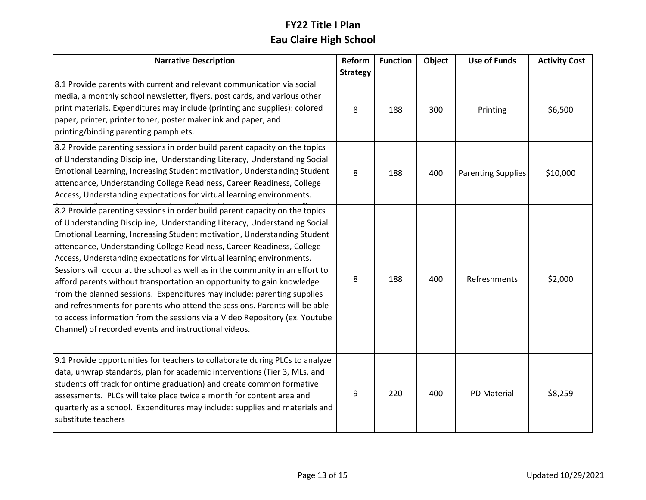| <b>Narrative Description</b>                                                                                                                                                                                                                                                                                                                                                                                                                                                                                                                                                                                                                                                                                                                                                                                                                        | Reform          | <b>Function</b> | Object | <b>Use of Funds</b>       | <b>Activity Cost</b> |
|-----------------------------------------------------------------------------------------------------------------------------------------------------------------------------------------------------------------------------------------------------------------------------------------------------------------------------------------------------------------------------------------------------------------------------------------------------------------------------------------------------------------------------------------------------------------------------------------------------------------------------------------------------------------------------------------------------------------------------------------------------------------------------------------------------------------------------------------------------|-----------------|-----------------|--------|---------------------------|----------------------|
|                                                                                                                                                                                                                                                                                                                                                                                                                                                                                                                                                                                                                                                                                                                                                                                                                                                     | <b>Strategy</b> |                 |        |                           |                      |
| 8.1 Provide parents with current and relevant communication via social<br>media, a monthly school newsletter, flyers, post cards, and various other<br>print materials. Expenditures may include (printing and supplies): colored<br>paper, printer, printer toner, poster maker ink and paper, and<br>printing/binding parenting pamphlets.                                                                                                                                                                                                                                                                                                                                                                                                                                                                                                        | 8               | 188             | 300    | Printing                  | \$6,500              |
| 8.2 Provide parenting sessions in order build parent capacity on the topics<br>of Understanding Discipline, Understanding Literacy, Understanding Social<br>Emotional Learning, Increasing Student motivation, Understanding Student<br>attendance, Understanding College Readiness, Career Readiness, College<br>Access, Understanding expectations for virtual learning environments.                                                                                                                                                                                                                                                                                                                                                                                                                                                             | 8               | 188             | 400    | <b>Parenting Supplies</b> | \$10,000             |
| 8.2 Provide parenting sessions in order build parent capacity on the topics<br>of Understanding Discipline, Understanding Literacy, Understanding Social<br>Emotional Learning, Increasing Student motivation, Understanding Student<br>attendance, Understanding College Readiness, Career Readiness, College<br>Access, Understanding expectations for virtual learning environments.<br>Sessions will occur at the school as well as in the community in an effort to<br>afford parents without transportation an opportunity to gain knowledge<br>from the planned sessions. Expenditures may include: parenting supplies<br>and refreshments for parents who attend the sessions. Parents will be able<br>to access information from the sessions via a Video Repository (ex. Youtube<br>Channel) of recorded events and instructional videos. | 8               | 188             | 400    | Refreshments              | \$2,000              |
| 9.1 Provide opportunities for teachers to collaborate during PLCs to analyze<br>data, unwrap standards, plan for academic interventions (Tier 3, MLs, and<br>students off track for ontime graduation) and create common formative<br>assessments. PLCs will take place twice a month for content area and<br>quarterly as a school. Expenditures may include: supplies and materials and<br>substitute teachers                                                                                                                                                                                                                                                                                                                                                                                                                                    | 9               | 220             | 400    | <b>PD Material</b>        | \$8,259              |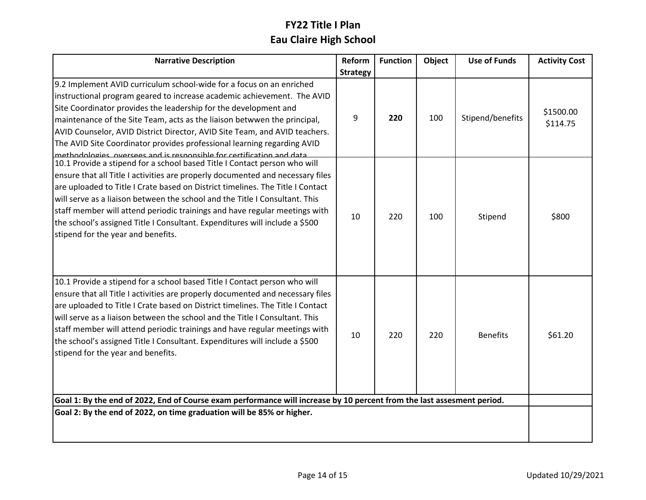| <b>Narrative Description</b>                                                                                                                                                                                                                                                                                                                                                                                                                                                                                                     | Reform          | <b>Function</b> | Object | <b>Use of Funds</b> | <b>Activity Cost</b>  |
|----------------------------------------------------------------------------------------------------------------------------------------------------------------------------------------------------------------------------------------------------------------------------------------------------------------------------------------------------------------------------------------------------------------------------------------------------------------------------------------------------------------------------------|-----------------|-----------------|--------|---------------------|-----------------------|
|                                                                                                                                                                                                                                                                                                                                                                                                                                                                                                                                  | <b>Strategy</b> |                 |        |                     |                       |
| 9.2 Implement AVID curriculum school-wide for a focus on an enriched<br>instructional program geared to increase academic achievement. The AVID<br>Site Coordinator provides the leadership for the development and<br>maintenance of the Site Team, acts as the liaison betwwen the principal,<br>AVID Counselor, AVID District Director, AVID Site Team, and AVID teachers.<br>The AVID Site Coordinator provides professional learning regarding AVID<br>methodologies oversees and is responsible for certification and data | 9               | 220             | 100    | Stipend/benefits    | \$1500.00<br>\$114.75 |
| 10.1 Provide a stipend for a school based Title I Contact person who will<br>ensure that all Title I activities are properly documented and necessary files<br>are uploaded to Title I Crate based on District timelines. The Title I Contact<br>will serve as a liaison between the school and the Title I Consultant. This<br>staff member will attend periodic trainings and have regular meetings with<br>the school's assigned Title I Consultant. Expenditures will include a \$500<br>stipend for the year and benefits.  | 10              | 220             | 100    | Stipend             | \$800                 |
| 10.1 Provide a stipend for a school based Title I Contact person who will<br>ensure that all Title I activities are properly documented and necessary files<br>are uploaded to Title I Crate based on District timelines. The Title I Contact<br>will serve as a liaison between the school and the Title I Consultant. This<br>staff member will attend periodic trainings and have regular meetings with<br>the school's assigned Title I Consultant. Expenditures will include a \$500<br>stipend for the year and benefits.  | 10              | 220             | 220    | <b>Benefits</b>     | \$61.20               |
| Goal 1: By the end of 2022, End of Course exam performance will increase by 10 percent from the last assesment period.                                                                                                                                                                                                                                                                                                                                                                                                           |                 |                 |        |                     |                       |
| Goal 2: By the end of 2022, on time graduation will be 85% or higher.                                                                                                                                                                                                                                                                                                                                                                                                                                                            |                 |                 |        |                     |                       |